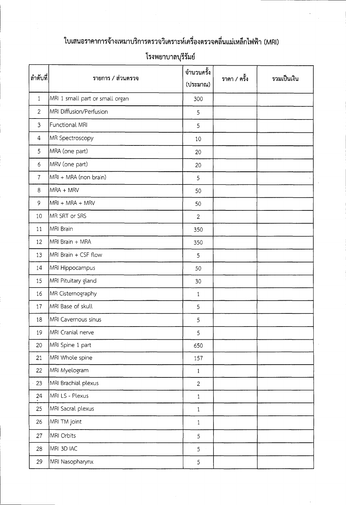## ใบเสนอราคาการจ้างเหมาบริการตรวจวิเคราะห์เครื่องตรวจคลื่นแม่เหล็กไฟฟ้า (MRI)

| ลำดับที่       | รายการ / ส่วนตรวจ               | จำนวนครั้ง<br>(ประมาณ) | ราคา / ครั้ง | รวมเป็นเงิน |
|----------------|---------------------------------|------------------------|--------------|-------------|
| $\mathbf{1}$   | MRI 1 small part or small organ | 300                    |              |             |
| $\overline{2}$ | MRI Diffusion/Perfusion         | 5                      |              |             |
| $\overline{3}$ | Functional MRI                  | 5                      |              |             |
| 4              | MR Spectroscopy                 | 10                     |              |             |
| 5              | MRA (one part)                  | 20                     |              |             |
| 6              | MRV (one part)                  | 20                     |              |             |
| $\overline{7}$ | MRI + MRA (non brain)           | 5                      |              |             |
| 8              | MRA + MRV                       | 50                     |              |             |
| 9              | MRI + MRA + MRV                 | 50                     |              |             |
| 10             | MR SRT or SRS                   | $\overline{2}$         |              |             |
| 11             | MRI Brain                       | 350                    |              |             |
| 12             | MRI Brain + MRA                 | 350                    |              |             |
| 13             | MRI Brain + CSF flow            | 5                      |              |             |
| 14             | MRI Hippocampus                 | 50                     |              |             |
| 15             | MRI Pituitary gland             | 30                     |              |             |
| 16             | MR Cisternography               | 1                      |              |             |
| 17             | MRI Base of skull               | 5                      |              |             |
| 18             | MRI Cavernous sinus             | 5                      |              |             |
| 19             | MRI Cranial nerve               | 5                      |              |             |
| 20             | MRI Spine 1 part                | 650                    |              |             |
| 21             | MRI Whole spine                 | 157                    |              |             |
| 22             | MRI Myelogram                   | $\mathbf{1}$           |              |             |
| 23             | MRI Brachial plexus             | $\overline{2}$         |              |             |
| 24             | MRI LS - Plexus                 | $\mathbf{1}$           |              |             |
| 25             | MRI Sacral plexus               | $\mathbf{1}$           |              |             |
| 26             | MRI TM joint                    | $\mathbf{1}$           |              |             |
| 27             | MRI Orbits                      | 5                      |              |             |
| 28             | MRI 3D IAC                      | 5                      |              |             |
| 29             | MRI Nasopharynx                 | 5                      |              |             |

## โรงพยาบาลบุรีรัมย์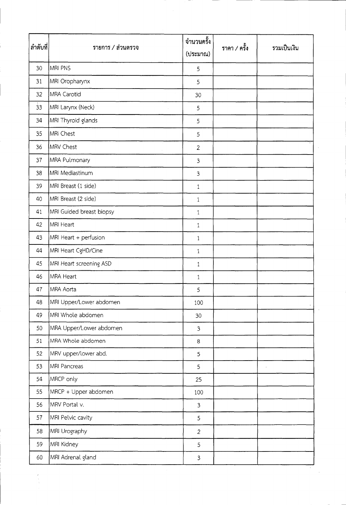| ลำดับที่       | รายการ / ส่วนตรวจ        | จำนวนครั้ง<br>(ประมาณ) | ราคา / ครั้ง | รวมเป็นเงิน |
|----------------|--------------------------|------------------------|--------------|-------------|
| 30             | MRI PNS                  | 5                      |              |             |
| 31             | MRI Oropharynx           | 5                      |              |             |
| 32             | MRA Carotid              | 30                     |              |             |
| $\frac{1}{33}$ | MRI Larynx (Neck)        | 5                      |              |             |
| 34             | MRI Thyroid glands       | 5                      |              |             |
| 35             | MRI Chest                | 5                      |              |             |
| 36             | MRV Chest                | $\overline{2}$         |              |             |
| 37             | MRA Pulmonary            | $\mathfrak{Z}$         |              |             |
| 38             | MRI Mediastinum          | $\mathfrak{Z}$         |              |             |
| 39             | MRI Breast (1 side)      | $\mathbf{1}$           |              |             |
| 40             | MRI Breast (2 side)      | 1                      |              |             |
| 41             | MRI Guided breast biopsy | $\mathbf{1}$           |              |             |
| 42             | MRI Heart                | $1\,$                  |              |             |
| 43             | MRI Heart + perfusion    | $\mathbf{1}$           |              |             |
| 44             | MRI Heart CgHD/Cine      | $\mathbf{1}$           |              |             |
| 45             | MRI Heart screening ASD  | $\mathbf{1}$           |              |             |
| 46             | MRA Heart                | $\mathbf{1}$           |              |             |
| 47             | MRA Aorta                | 5                      |              |             |
| 48             | MRI Upper/Lower abdomen  | 100                    |              |             |
| 49             | MRI Whole abdomen        | 30                     |              |             |
| 50             | MRA Upper/Lower abdomen  | $\mathfrak{Z}$         |              |             |
| 51             | MRA Whole abdomen        | 8                      |              |             |
| 52             | MRV upper/lower abd.     | $\overline{5}$         |              |             |
| 53             | MRI Pancreas             | 5                      |              |             |
| 54             | MRCP only                | 25                     |              |             |
| 55             | MRCP + Upper abdomen     | 100                    |              |             |
| 56             | MRV Portal v.            | $\overline{3}$         |              |             |
| 57             | MRI Pelvic cavity        | 5                      |              |             |
| 58             | MRI Urography            | $\overline{2}$         |              |             |
| 59             | MRI Kidney               | 5                      |              |             |
| 60             | MRI Adrenal gland        | $\mathfrak{Z}$         |              |             |

 $\begin{array}{c} \times \\ \times \\ \times \\ \times \end{array}$